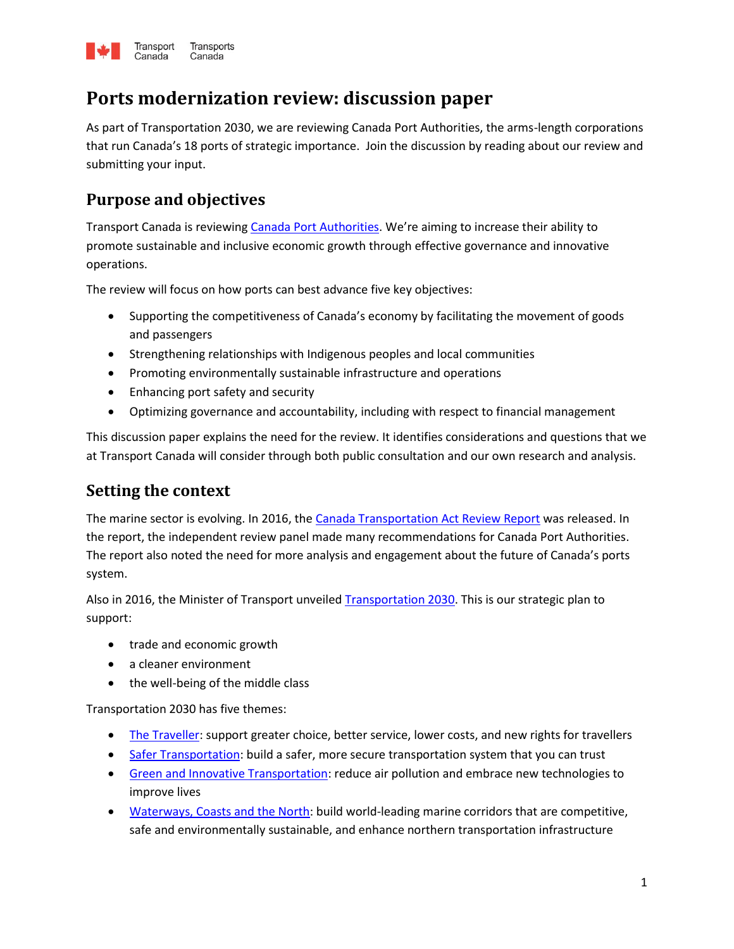

# **Ports modernization review: discussion paper**

As part of Transportation 2030, we are reviewing Canada Port Authorities, the arms-length corporations that run Canada's 18 ports of strategic importance. Join the discussion by reading about our review and submitting your input.

# **Purpose and objectives**

Transport Canada is reviewing [Canada Port Authorities](http://www.tc.gc.ca/en/services/marine/ports-harbours/list-canada-port-authorities.html). We're aiming to increase their ability to promote sustainable and inclusive economic growth through effective governance and innovative operations.

The review will focus on how ports can best advance five key objectives:

- Supporting the competitiveness of Canada's economy by facilitating the movement of goods and passengers
- Strengthening relationships with Indigenous peoples and local communities
- Promoting environmentally sustainable infrastructure and operations
- Enhancing port safety and security
- Optimizing governance and accountability, including with respect to financial management

This discussion paper explains the need for the review. It identifies considerations and questions that we at Transport Canada will consider through both public consultation and our own research and analysis.

### **Setting the context**

The marine sector is evolving. In 2016, the [Canada Transportation Act](http://www.tc.gc.ca/eng/ctareview2014/canada-transportation-act-review.html) Review Report was released. In the report, the independent review panel made many recommendations for Canada Port Authorities. The report also noted the need for more analysis and engagement about the future of Canada's ports system.

Also in 2016, the Minister of Transport unveiled [Transportation 2030.](https://www.tc.gc.ca/eng/future-transportation-canada.html) This is our strategic plan to support:

- trade and economic growth
- a cleaner environment
- the well-being of the middle class

Transportation 2030 has five themes:

- [The Traveller:](https://www.tc.gc.ca/eng/future-transportation-canada-traveller.html) support greater choice, better service, lower costs, and new rights for travellers
- **[Safer Transportation:](https://www.tc.gc.ca/eng/future-transportation-canada-safer-transportation.html) build a safer, more secure transportation system that you can trust**
- [Green and Innovative Transportation:](https://www.tc.gc.ca/eng/future-transportation-canada-green-innovative-transportation.html) reduce air pollution and embrace new technologies to improve lives
- [Waterways, Coasts and the North:](https://www.tc.gc.ca/eng/future-transportation-canada-waterways-coasts-north.html) build world-leading marine corridors that are competitive, safe and environmentally sustainable, and enhance northern transportation infrastructure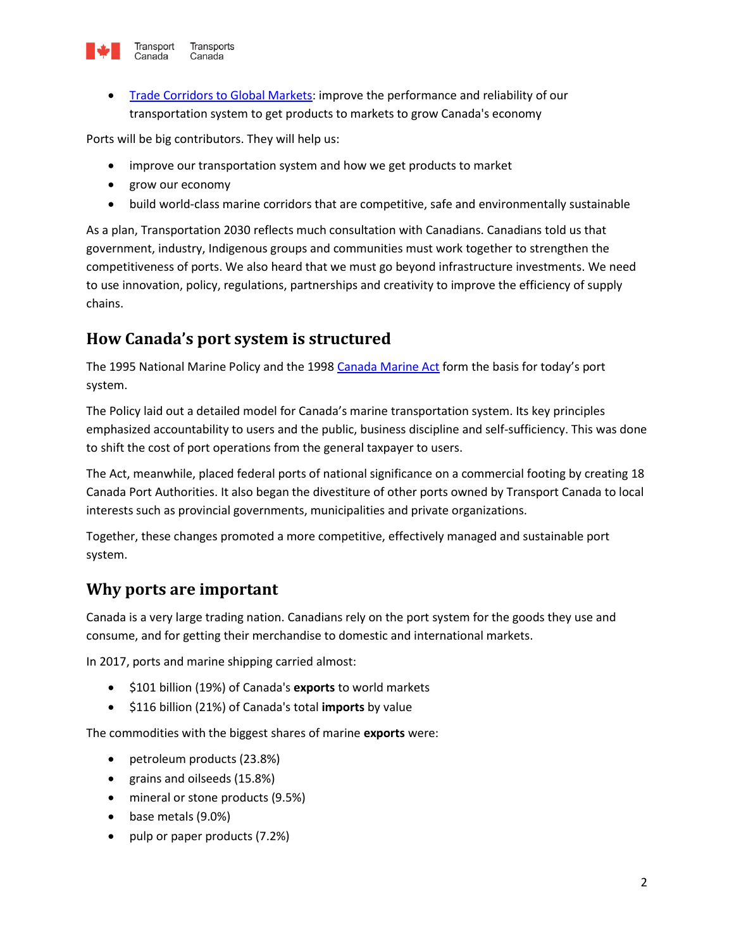

 [Trade Corridors to Global Markets:](https://www.tc.gc.ca/eng/future-transportation-canada-trade-corridors-global-markets.html) improve the performance and reliability of our transportation system to get products to markets to grow Canada's economy

Ports will be big contributors. They will help us:

- improve our transportation system and how we get products to market
- grow our economy
- build world-class marine corridors that are competitive, safe and environmentally sustainable

As a plan, Transportation 2030 reflects much consultation with Canadians. Canadians told us that government, industry, Indigenous groups and communities must work together to strengthen the competitiveness of ports. We also heard that we must go beyond infrastructure investments. We need to use innovation, policy, regulations, partnerships and creativity to improve the efficiency of supply chains.

## **How Canada's port system is structured**

The 1995 National Marine Policy and the 1998 [Canada Marine Act](http://laws-lois.justice.gc.ca/eng/acts/C-6.7/) form the basis for today's port system.

The Policy laid out a detailed model for Canada's marine transportation system. Its key principles emphasized accountability to users and the public, business discipline and self-sufficiency. This was done to shift the cost of port operations from the general taxpayer to users.

The Act, meanwhile, placed federal ports of national significance on a commercial footing by creating 18 Canada Port Authorities. It also began the divestiture of other ports owned by Transport Canada to local interests such as provincial governments, municipalities and private organizations.

Together, these changes promoted a more competitive, effectively managed and sustainable port system.

### **Why ports are important**

Canada is a very large trading nation. Canadians rely on the port system for the goods they use and consume, and for getting their merchandise to domestic and international markets.

In 2017, ports and marine shipping carried almost:

- $\bullet$  \$101 billion (19%) of Canada's **exports** to world markets
- \$116 billion (21%) of Canada's total **imports** by value

The commodities with the biggest shares of marine **exports** were:

- petroleum products (23.8%)
- grains and oilseeds (15.8%)
- mineral or stone products (9.5%)
- base metals (9.0%)
- pulp or paper products (7.2%)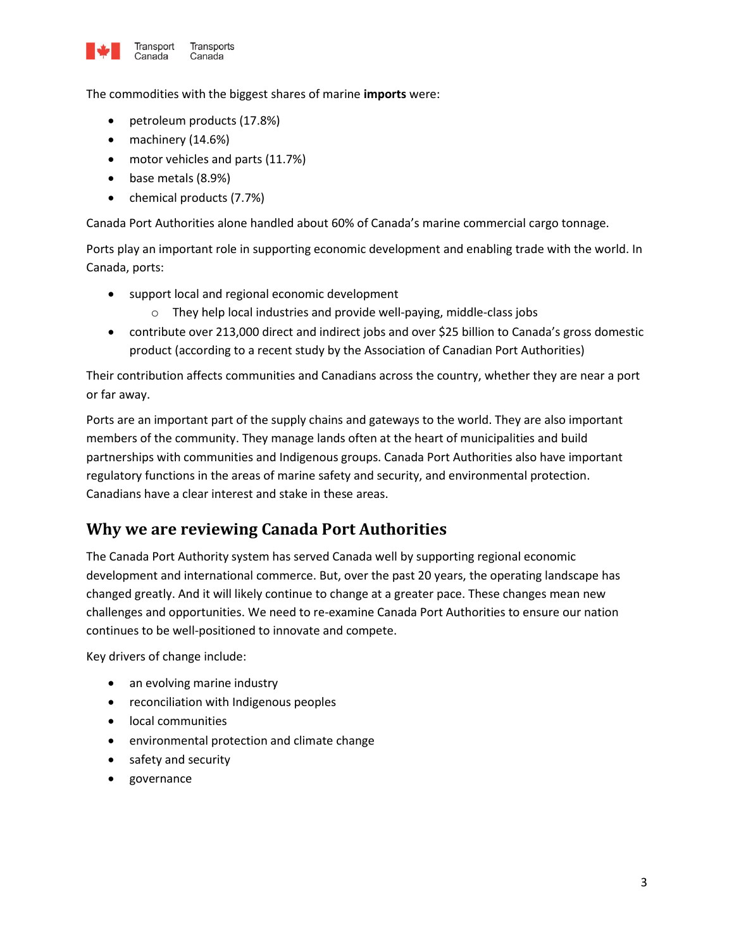

The commodities with the biggest shares of marine **imports** were:

- petroleum products (17.8%)
- machinery (14.6%)
- motor vehicles and parts (11.7%)
- base metals (8.9%)
- chemical products (7.7%)

Canada Port Authorities alone handled about 60% of Canada's marine commercial cargo tonnage.

Ports play an important role in supporting economic development and enabling trade with the world. In Canada, ports:

- support local and regional economic development
	- o They help local industries and provide well-paying, middle-class jobs
- contribute over 213,000 direct and indirect jobs and over \$25 billion to Canada's gross domestic product (according to a recent study by the Association of Canadian Port Authorities)

Their contribution affects communities and Canadians across the country, whether they are near a port or far away.

Ports are an important part of the supply chains and gateways to the world. They are also important members of the community. They manage lands often at the heart of municipalities and build partnerships with communities and Indigenous groups. Canada Port Authorities also have important regulatory functions in the areas of marine safety and security, and environmental protection. Canadians have a clear interest and stake in these areas.

### **Why we are reviewing Canada Port Authorities**

The Canada Port Authority system has served Canada well by supporting regional economic development and international commerce. But, over the past 20 years, the operating landscape has changed greatly. And it will likely continue to change at a greater pace. These changes mean new challenges and opportunities. We need to re-examine Canada Port Authorities to ensure our nation continues to be well-positioned to innovate and compete.

Key drivers of change include:

- an evolving marine industry
- reconciliation with Indigenous peoples
- local communities
- environmental protection and climate change
- safety and security
- governance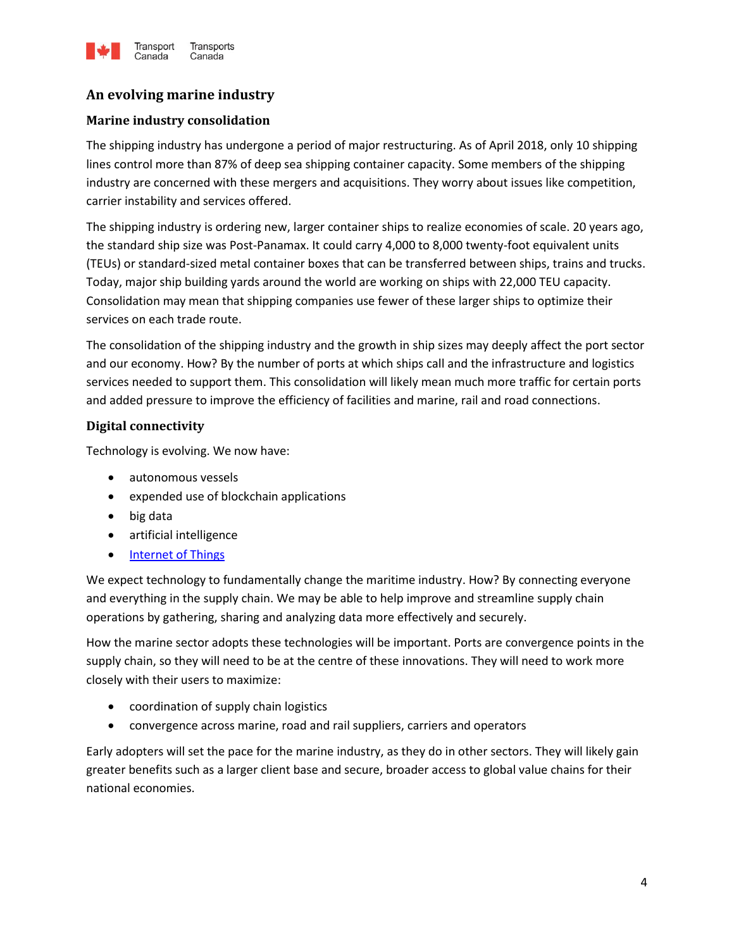

### **An evolving marine industry**

#### **Marine industry consolidation**

The shipping industry has undergone a period of major restructuring. As of April 2018, only 10 shipping lines control more than 87% of deep sea shipping container capacity. Some members of the shipping industry are concerned with these mergers and acquisitions. They worry about issues like competition, carrier instability and services offered.

The shipping industry is ordering new, larger container ships to realize economies of scale. 20 years ago, the standard ship size was Post-Panamax. It could carry 4,000 to 8,000 twenty-foot equivalent units (TEUs) or standard-sized metal container boxes that can be transferred between ships, trains and trucks. Today, major ship building yards around the world are working on ships with 22,000 TEU capacity. Consolidation may mean that shipping companies use fewer of these larger ships to optimize their services on each trade route.

The consolidation of the shipping industry and the growth in ship sizes may deeply affect the port sector and our economy. How? By the number of ports at which ships call and the infrastructure and logistics services needed to support them. This consolidation will likely mean much more traffic for certain ports and added pressure to improve the efficiency of facilities and marine, rail and road connections.

#### **Digital connectivity**

Technology is evolving. We now have:

- autonomous vessels
- expended use of blockchain applications
- big data
- artificial intelligence
- [Internet of Things](https://www.getcybersafe.gc.ca/cnt/rsks/ntrnt-thngs/index-en.aspx)

We expect technology to fundamentally change the maritime industry. How? By connecting everyone and everything in the supply chain. We may be able to help improve and streamline supply chain operations by gathering, sharing and analyzing data more effectively and securely.

How the marine sector adopts these technologies will be important. Ports are convergence points in the supply chain, so they will need to be at the centre of these innovations. They will need to work more closely with their users to maximize:

- coordination of supply chain logistics
- convergence across marine, road and rail suppliers, carriers and operators

Early adopters will set the pace for the marine industry, as they do in other sectors. They will likely gain greater benefits such as a larger client base and secure, broader access to global value chains for their national economies.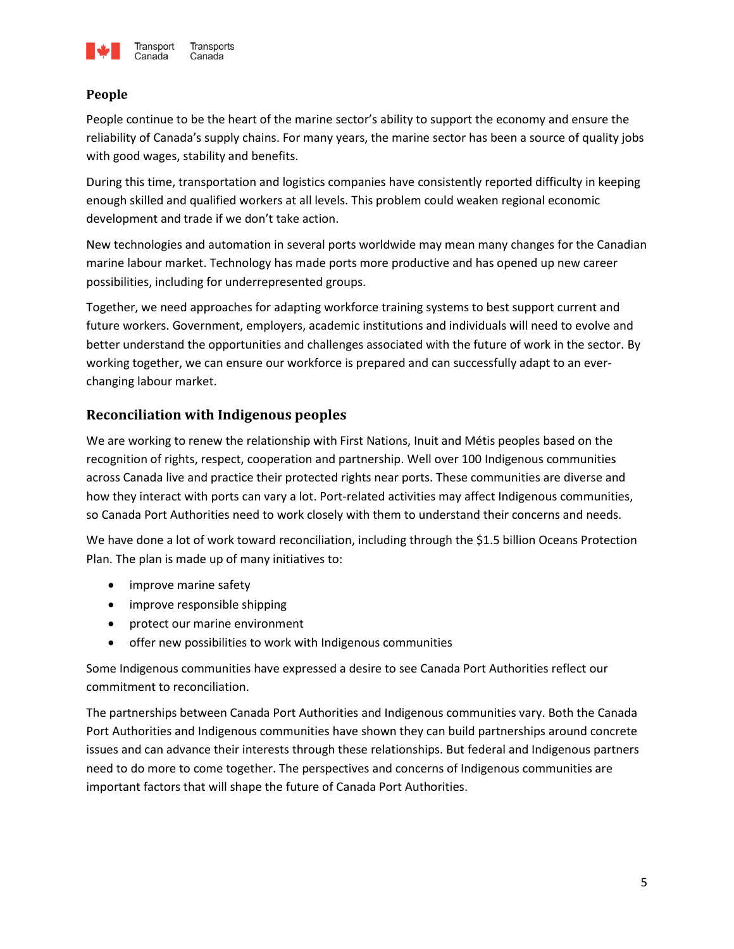

#### **People**

People continue to be the heart of the marine sector's ability to support the economy and ensure the reliability of Canada's supply chains. For many years, the marine sector has been a source of quality jobs with good wages, stability and benefits.

During this time, transportation and logistics companies have consistently reported difficulty in keeping enough skilled and qualified workers at all levels. This problem could weaken regional economic development and trade if we don't take action.

New technologies and automation in several ports worldwide may mean many changes for the Canadian marine labour market. Technology has made ports more productive and has opened up new career possibilities, including for underrepresented groups.

Together, we need approaches for adapting workforce training systems to best support current and future workers. Government, employers, academic institutions and individuals will need to evolve and better understand the opportunities and challenges associated with the future of work in the sector. By working together, we can ensure our workforce is prepared and can successfully adapt to an everchanging labour market.

#### **Reconciliation with Indigenous peoples**

We are working to renew the relationship with First Nations, Inuit and Métis peoples based on the recognition of rights, respect, cooperation and partnership. Well over 100 Indigenous communities across Canada live and practice their protected rights near ports. These communities are diverse and how they interact with ports can vary a lot. Port-related activities may affect Indigenous communities, so Canada Port Authorities need to work closely with them to understand their concerns and needs.

We have done a lot of work toward reconciliation, including through the \$1.5 billion Oceans Protection Plan. The plan is made up of many initiatives to:

- improve marine safety
- improve responsible shipping
- protect our marine environment
- offer new possibilities to work with Indigenous communities

Some Indigenous communities have expressed a desire to see Canada Port Authorities reflect our commitment to reconciliation.

The partnerships between Canada Port Authorities and Indigenous communities vary. Both the Canada Port Authorities and Indigenous communities have shown they can build partnerships around concrete issues and can advance their interests through these relationships. But federal and Indigenous partners need to do more to come together. The perspectives and concerns of Indigenous communities are important factors that will shape the future of Canada Port Authorities.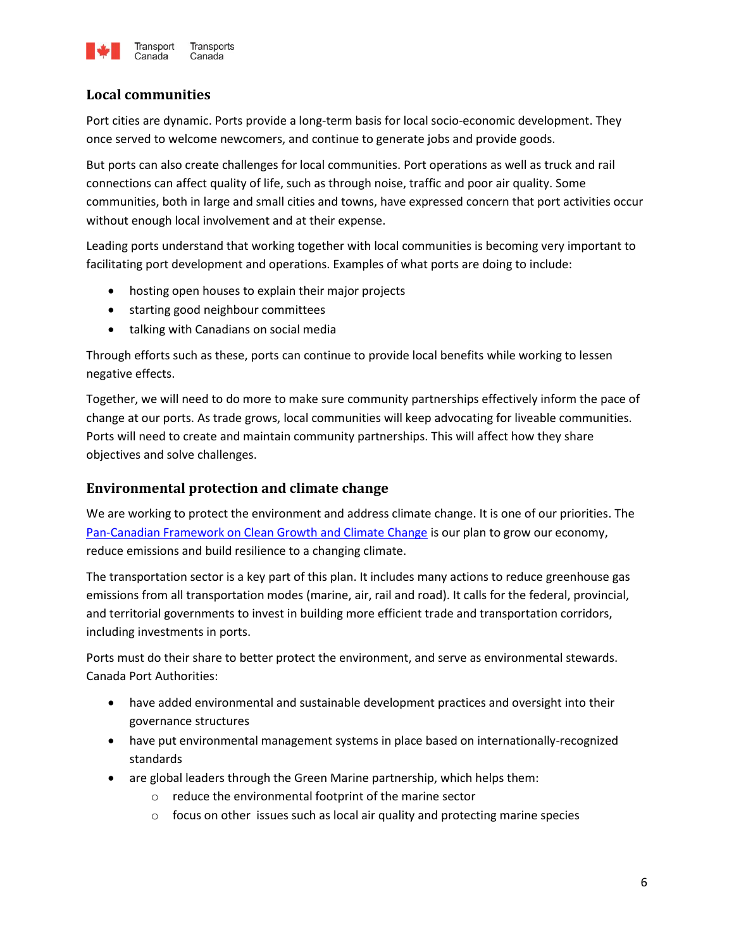

#### **Local communities**

Port cities are dynamic. Ports provide a long-term basis for local socio-economic development. They once served to welcome newcomers, and continue to generate jobs and provide goods.

But ports can also create challenges for local communities. Port operations as well as truck and rail connections can affect quality of life, such as through noise, traffic and poor air quality. Some communities, both in large and small cities and towns, have expressed concern that port activities occur without enough local involvement and at their expense.

Leading ports understand that working together with local communities is becoming very important to facilitating port development and operations. Examples of what ports are doing to include:

- hosting open houses to explain their major projects
- starting good neighbour committees
- talking with Canadians on social media

Through efforts such as these, ports can continue to provide local benefits while working to lessen negative effects.

Together, we will need to do more to make sure community partnerships effectively inform the pace of change at our ports. As trade grows, local communities will keep advocating for liveable communities. Ports will need to create and maintain community partnerships. This will affect how they share objectives and solve challenges.

#### **Environmental protection and climate change**

We are working to protect the environment and address climate change. It is one of our priorities. The [Pan-Canadian Framework on Clean Growth and Climate Change](https://www.canada.ca/en/services/environment/weather/climatechange/pan-canadian-framework.html) is our plan to grow our economy, reduce emissions and build resilience to a changing climate.

The transportation sector is a key part of this plan. It includes many actions to reduce greenhouse gas emissions from all transportation modes (marine, air, rail and road). It calls for the federal, provincial, and territorial governments to invest in building more efficient trade and transportation corridors, including investments in ports.

Ports must do their share to better protect the environment, and serve as environmental stewards. Canada Port Authorities:

- have added environmental and sustainable development practices and oversight into their governance structures
- have put environmental management systems in place based on internationally-recognized standards
- are global leaders through the Green Marine partnership, which helps them:
	- o reduce the environmental footprint of the marine sector
	- $\circ$  focus on other issues such as local air quality and protecting marine species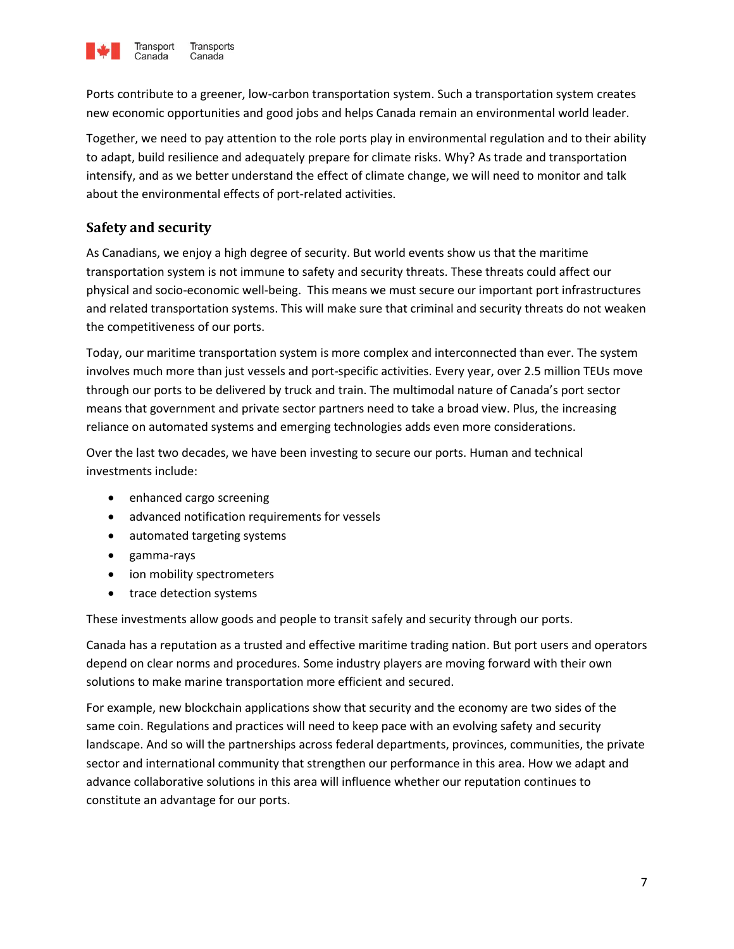

Ports contribute to a greener, low-carbon transportation system. Such a transportation system creates new economic opportunities and good jobs and helps Canada remain an environmental world leader.

Together, we need to pay attention to the role ports play in environmental regulation and to their ability to adapt, build resilience and adequately prepare for climate risks. Why? As trade and transportation intensify, and as we better understand the effect of climate change, we will need to monitor and talk about the environmental effects of port-related activities.

#### **Safety and security**

As Canadians, we enjoy a high degree of security. But world events show us that the maritime transportation system is not immune to safety and security threats. These threats could affect our physical and socio-economic well-being. This means we must secure our important port infrastructures and related transportation systems. This will make sure that criminal and security threats do not weaken the competitiveness of our ports.

Today, our maritime transportation system is more complex and interconnected than ever. The system involves much more than just vessels and port-specific activities. Every year, over 2.5 million TEUs move through our ports to be delivered by truck and train. The multimodal nature of Canada's port sector means that government and private sector partners need to take a broad view. Plus, the increasing reliance on automated systems and emerging technologies adds even more considerations.

Over the last two decades, we have been investing to secure our ports. Human and technical investments include:

- enhanced cargo screening
- advanced notification requirements for vessels
- automated targeting systems
- gamma-rays
- ion mobility spectrometers
- trace detection systems

These investments allow goods and people to transit safely and security through our ports.

Canada has a reputation as a trusted and effective maritime trading nation. But port users and operators depend on clear norms and procedures. Some industry players are moving forward with their own solutions to make marine transportation more efficient and secured.

For example, new blockchain applications show that security and the economy are two sides of the same coin. Regulations and practices will need to keep pace with an evolving safety and security landscape. And so will the partnerships across federal departments, provinces, communities, the private sector and international community that strengthen our performance in this area. How we adapt and advance collaborative solutions in this area will influence whether our reputation continues to constitute an advantage for our ports.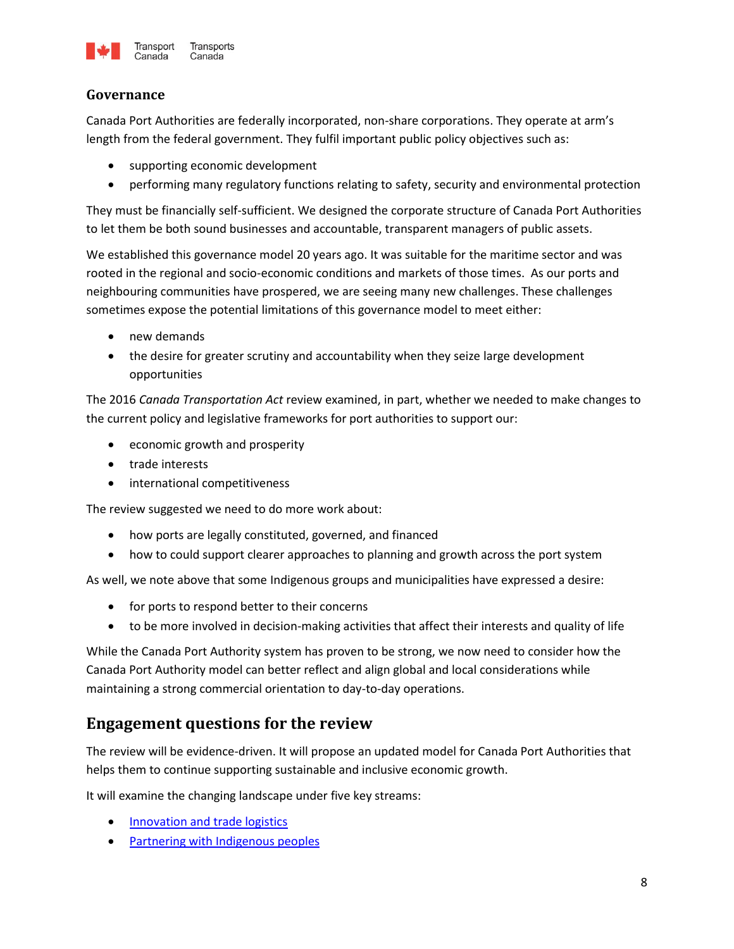

#### **Governance**

Canada Port Authorities are federally incorporated, non-share corporations. They operate at arm's length from the federal government. They fulfil important public policy objectives such as:

- supporting economic development
- performing many regulatory functions relating to safety, security and environmental protection

They must be financially self-sufficient. We designed the corporate structure of Canada Port Authorities to let them be both sound businesses and accountable, transparent managers of public assets.

We established this governance model 20 years ago. It was suitable for the maritime sector and was rooted in the regional and socio-economic conditions and markets of those times. As our ports and neighbouring communities have prospered, we are seeing many new challenges. These challenges sometimes expose the potential limitations of this governance model to meet either:

- new demands
- the desire for greater scrutiny and accountability when they seize large development opportunities

The 2016 *Canada Transportation Act* review examined, in part, whether we needed to make changes to the current policy and legislative frameworks for port authorities to support our:

- economic growth and prosperity
- trade interests
- international competitiveness

The review suggested we need to do more work about:

- how ports are legally constituted, governed, and financed
- how to could support clearer approaches to planning and growth across the port system

As well, we note above that some Indigenous groups and municipalities have expressed a desire:

- for ports to respond better to their concerns
- to be more involved in decision-making activities that affect their interests and quality of life

While the Canada Port Authority system has proven to be strong, we now need to consider how the Canada Port Authority model can better reflect and align global and local considerations while maintaining a strong commercial orientation to day-to-day operations.

### **Engagement questions for the review**

The review will be evidence-driven. It will propose an updated model for Canada Port Authorities that helps them to continue supporting sustainable and inclusive economic growth.

It will examine the changing landscape under five key streams:

- [Innovation and trade logistics](#page-8-0)
- [Partnering with Indigenous peoples](#page-8-1)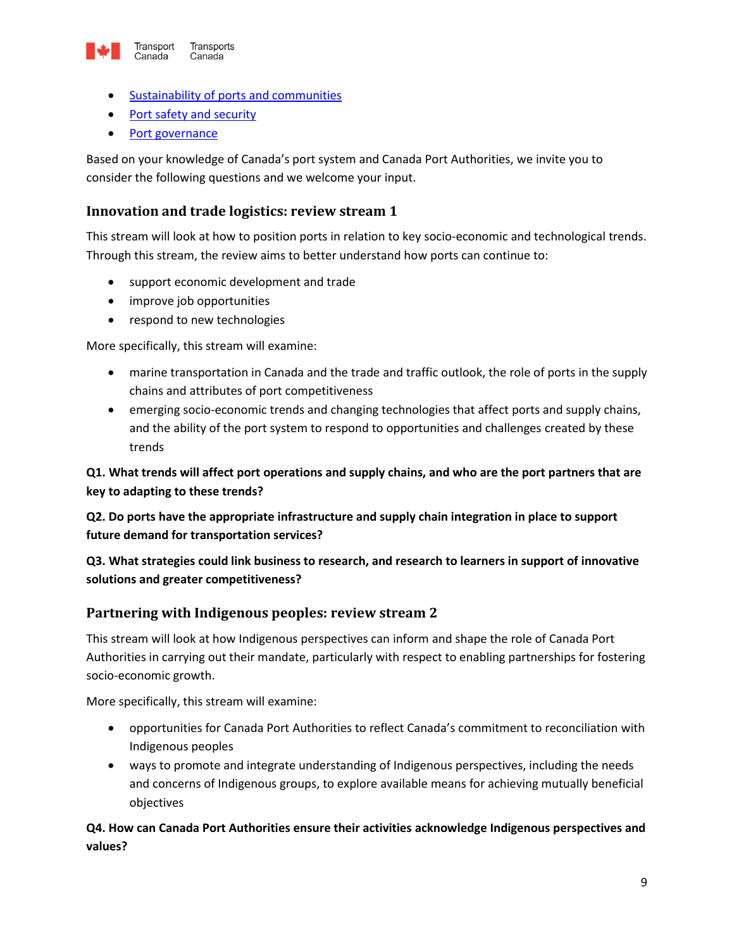

- [Sustainability of ports and communities](#page-9-0)
- [Port safety and security](#page-9-1)
- [Port governance](#page-10-0)

Based on your knowledge of Canada's port system and Canada Port Authorities, we invite you to consider the following questions and we welcome your input.

#### <span id="page-8-0"></span>**Innovation and trade logistics: review stream 1**

This stream will look at how to position ports in relation to key socio-economic and technological trends. Through this stream, the review aims to better understand how ports can continue to:

- support economic development and trade
- improve job opportunities
- respond to new technologies

More specifically, this stream will examine:

- marine transportation in Canada and the trade and traffic outlook, the role of ports in the supply chains and attributes of port competitiveness
- emerging socio-economic trends and changing technologies that affect ports and supply chains, and the ability of the port system to respond to opportunities and challenges created by these trends

**Q1. What trends will affect port operations and supply chains, and who are the port partners that are key to adapting to these trends?**

**Q2. Do ports have the appropriate infrastructure and supply chain integration in place to support future demand for transportation services?**

#### **Q3. What strategies could link business to research, and research to learners in support of innovative solutions and greater competitiveness?**

#### <span id="page-8-1"></span>**Partnering with Indigenous peoples: review stream 2**

This stream will look at how Indigenous perspectives can inform and shape the role of Canada Port Authorities in carrying out their mandate, particularly with respect to enabling partnerships for fostering socio-economic growth.

More specifically, this stream will examine:

- opportunities for Canada Port Authorities to reflect Canada's commitment to reconciliation with Indigenous peoples
- ways to promote and integrate understanding of Indigenous perspectives, including the needs and concerns of Indigenous groups, to explore available means for achieving mutually beneficial objectives

**Q4. How can Canada Port Authorities ensure their activities acknowledge Indigenous perspectives and values?**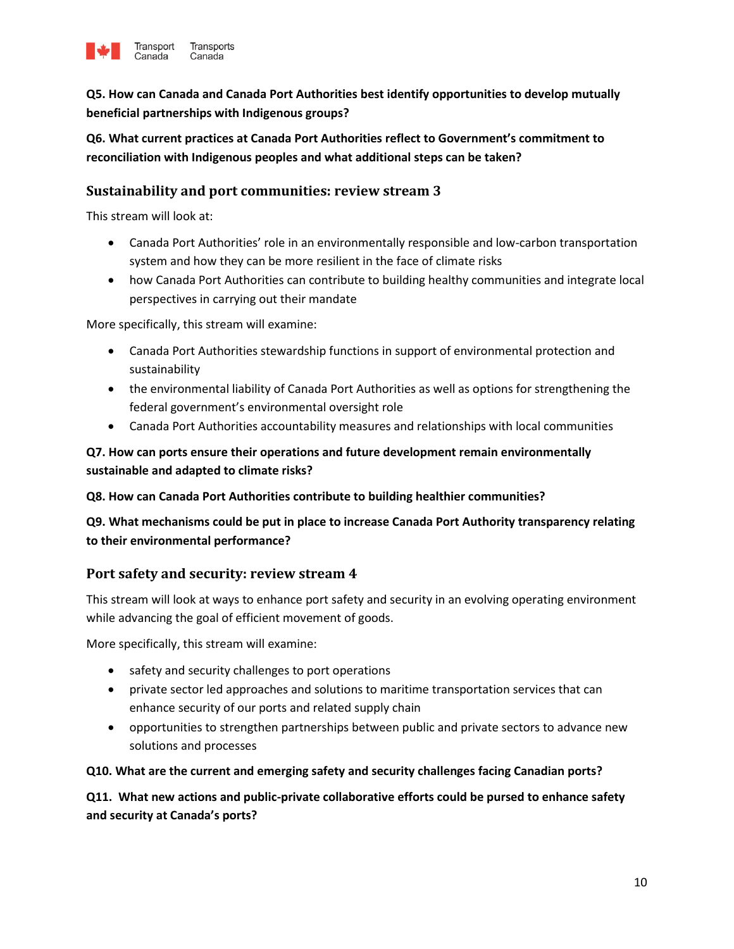

**Q5. How can Canada and Canada Port Authorities best identify opportunities to develop mutually beneficial partnerships with Indigenous groups?**

**Q6. What current practices at Canada Port Authorities reflect to Government's commitment to reconciliation with Indigenous peoples and what additional steps can be taken?**

#### **Sustainability and port communities: review stream 3**

This stream will look at:

- <span id="page-9-0"></span> Canada Port Authorities' role in an environmentally responsible and low-carbon transportation system and how they can be more resilient in the face of climate risks
- how Canada Port Authorities can contribute to building healthy communities and integrate local perspectives in carrying out their mandate

More specifically, this stream will examine:

- Canada Port Authorities stewardship functions in support of environmental protection and sustainability
- the environmental liability of Canada Port Authorities as well as options for strengthening the federal government's environmental oversight role
- Canada Port Authorities accountability measures and relationships with local communities

#### **Q7. How can ports ensure their operations and future development remain environmentally sustainable and adapted to climate risks?**

**Q8. How can Canada Port Authorities contribute to building healthier communities?**

#### **Q9. What mechanisms could be put in place to increase Canada Port Authority transparency relating to their environmental performance?**

#### <span id="page-9-1"></span>**Port safety and security: review stream 4**

This stream will look at ways to enhance port safety and security in an evolving operating environment while advancing the goal of efficient movement of goods.

More specifically, this stream will examine:

- safety and security challenges to port operations
- private sector led approaches and solutions to maritime transportation services that can enhance security of our ports and related supply chain
- opportunities to strengthen partnerships between public and private sectors to advance new solutions and processes

#### **Q10. What are the current and emerging safety and security challenges facing Canadian ports?**

**Q11. What new actions and public-private collaborative efforts could be pursed to enhance safety and security at Canada's ports?**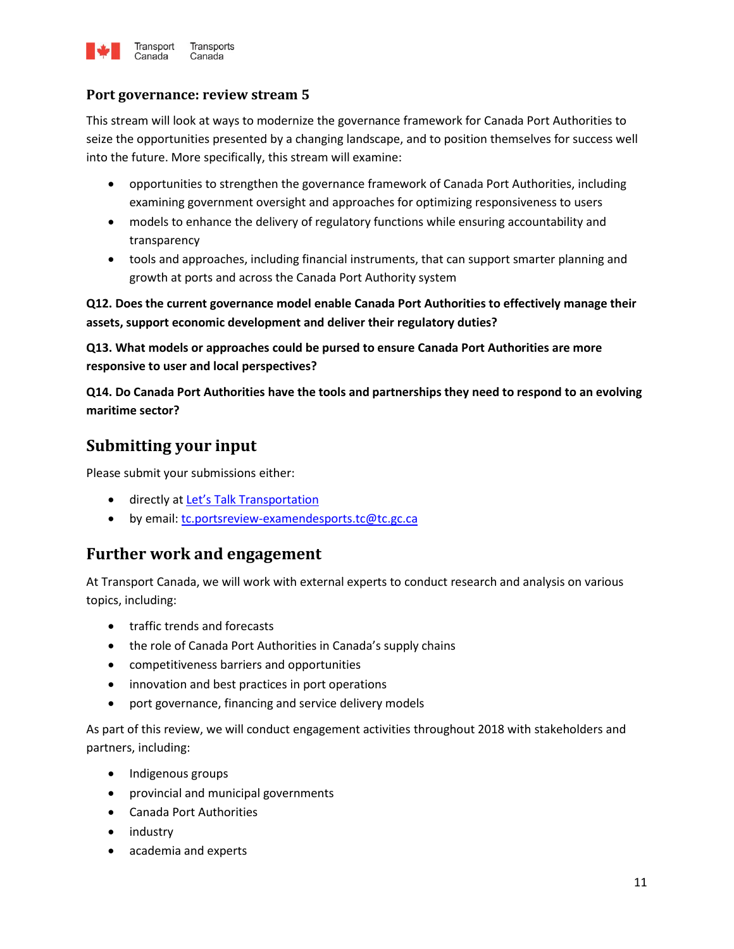

#### <span id="page-10-0"></span>**Port governance: review stream 5**

This stream will look at ways to modernize the governance framework for Canada Port Authorities to seize the opportunities presented by a changing landscape, and to position themselves for success well into the future. More specifically, this stream will examine:

- opportunities to strengthen the governance framework of Canada Port Authorities, including examining government oversight and approaches for optimizing responsiveness to users
- models to enhance the delivery of regulatory functions while ensuring accountability and transparency
- tools and approaches, including financial instruments, that can support smarter planning and growth at ports and across the Canada Port Authority system

**Q12. Does the current governance model enable Canada Port Authorities to effectively manage their assets, support economic development and deliver their regulatory duties?**

**Q13. What models or approaches could be pursed to ensure Canada Port Authorities are more responsive to user and local perspectives?**

**Q14. Do Canada Port Authorities have the tools and partnerships they need to respond to an evolving maritime sector?**

## **Submitting your input**

Please submit your submissions either:

- **.** directly at [Let's Talk Transportation](https://letstalktransportation.ca/)
- by email: [tc.portsreview-examendesports.tc@tc.gc.ca](mailto:TC.Portsreview-Examendesports.TC@tc.gc.ca)

### **Further work and engagement**

At Transport Canada, we will work with external experts to conduct research and analysis on various topics, including:

- traffic trends and forecasts
- the role of Canada Port Authorities in Canada's supply chains
- competitiveness barriers and opportunities
- innovation and best practices in port operations
- port governance, financing and service delivery models

As part of this review, we will conduct engagement activities throughout 2018 with stakeholders and partners, including:

- Indigenous groups
- provincial and municipal governments
- Canada Port Authorities
- industry
- academia and experts